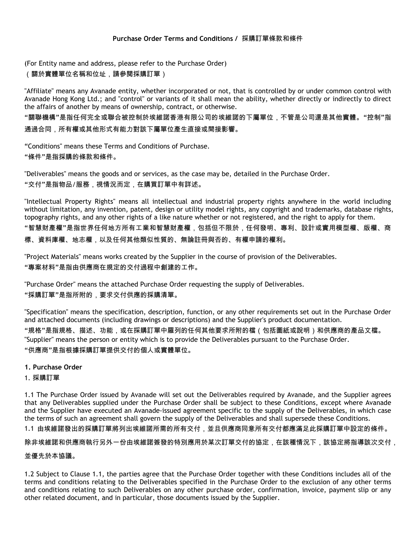(For Entity name and address, please refer to the Purchase Order) (關於實體單位名稱和位址,請參閱採購訂單)

"Affiliate" means any Avanade entity, whether incorporated or not, that is controlled by or under common control with Avanade Hong Kong Ltd.; and "control" or variants of it shall mean the ability, whether directly or indirectly to direct the affairs of another by means of ownership, contract, or otherwise.

"關聯機構"是指任何完全或聯合被控制於埃維諾香港有限公司的埃維諾的下屬單位,不管是公司還是其他實體。"控制"指

通過合同,所有權或其他形式有能力對該下屬單位產生直接或間接影響。

"Conditions" means these Terms and Conditions of Purchase.

"條件"是指採購的條款和條件。

"Deliverables" means the goods and or services, as the case may be, detailed in the Purchase Order. "交付"是指物品/服務,視情況而定,在購買訂單中有詳述。

"Intellectual Property Rights" means all intellectual and industrial property rights anywhere in the world including without limitation, any invention, patent, design or utility model rights, any copyright and trademarks, database rights, topography rights, and any other rights of a like nature whether or not registered, and the right to apply for them.

"智慧財產權"是指世界任何地方所有工業和智慧財產權,包括但不限於,任何發明、專利、設計或實用模型權、版權、商 標、資料庫權、地志權,以及任何其他類似性質的、無論註冊與否的、有權申請的權利。

"Project Materials" means works created by the Supplier in the course of provision of the Deliverables. "專案材料"是指由供應商在規定的交付過程中創建的工作。

"Purchase Order" means the attached Purchase Order requesting the supply of Deliverables. "採購訂單"是指所附的,要求交付供應的採購清單。

"Specification" means the specification, description, function, or any other requirements set out in the Purchase Order and attached documents (including drawings or descriptions) and the Supplier's product documentation. "規格"是指規格、描述、功能,或在採購訂單中羅列的任何其他要求所附的檔(包括圖紙或說明)和供應商的產品文檔。 "Supplier" means the person or entity which is to provide the Deliverables pursuant to the Purchase Order. "供應商"是指根據採購訂單提供交付的個人或實體單位。

- **1. Purchase Order**
- 1. 採購訂單

1.1 The Purchase Order issued by Avanade will set out the Deliverables required by Avanade, and the Supplier agrees that any Deliverables supplied under the Purchase Order shall be subject to these Conditions, except where Avanade and the Supplier have executed an Avanade-issued agreement specific to the supply of the Deliverables, in which case the terms of such an agreement shall govern the supply of the Deliverables and shall supersede these Conditions.

1.1 由埃維諾發出的採購訂單將列出埃維諾所需的所有交付,並且供應商同意所有交付都應滿足此採購訂單中設定的條件。

除非埃維諾和供應商執行另外一份由埃維諾簽發的特別應用於某次訂單交付的協定,在該種情況下,該協定將指導該次交付,

# 並優先於本協議。

1.2 Subject to Clause 1.1, the parties agree that the Purchase Order together with these Conditions includes all of the terms and conditions relating to the Deliverables specified in the Purchase Order to the exclusion of any other terms and conditions relating to such Deliverables on any other purchase order, confirmation, invoice, payment slip or any other related document, and in particular, those documents issued by the Supplier.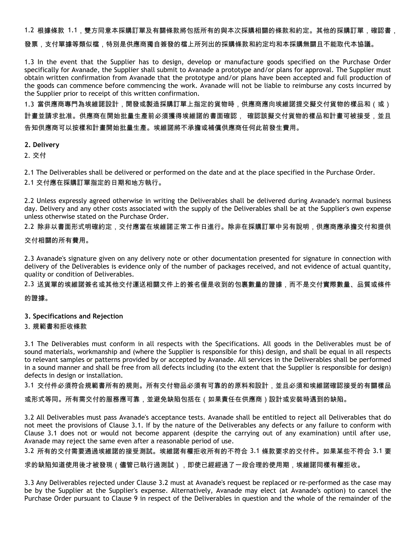1.2 根據條款 1.1,雙方同意本採購訂單及有關條款將包括所有的與本次採購相關的條款和約定。其他的採購訂單,確認書,

#### 發票,支付單據等類似檔,特別是供應商獨自簽發的檔上所列出的採購條款和約定均和本採購無關且不能取代本協議。

1.3 In the event that the Supplier has to design, develop or manufacture goods specified on the Purchase Order specifically for Avanade, the Supplier shall submit to Avanade a prototype and/or plans for approval. The Supplier must obtain written confirmation from Avanade that the prototype and/or plans have been accepted and full production of the goods can commence before commencing the work. Avanade will not be liable to reimburse any costs incurred by the Supplier prior to receipt of this written confirmation.

1.3 當供應商專門為埃維諾設計,開發或製造採購訂單上指定的貨物時,供應商應向埃維諾提交擬交付貨物的樣品和(或) 計畫並請求批准。供應商在開始批量生產前必須獲得埃維諾的書面確認, 確認該擬交付貨物的樣品和計畫可被接受,並且 告知供應商可以按樣和計畫開始批量生產。埃維諾將不承擔或補償供應商任何此前發生費用。

#### **2. Delivery**

2. 交付

2.1 The Deliverables shall be delivered or performed on the date and at the place specified in the Purchase Order.

2.1 交付應在採購訂單指定的日期和地方執行。

2.2 Unless expressly agreed otherwise in writing the Deliverables shall be delivered during Avanade's normal business day. Delivery and any other costs associated with the supply of the Deliverables shall be at the Supplier's own expense unless otherwise stated on the Purchase Order.

2.2 除非以書面形式明確約定,交付應當在埃維諾正常工作日進行。除非在採購訂單中另有說明,供應商應承擔交付和提供

# 交付相關的所有費用。

2.3 Avanade's signature given on any delivery note or other documentation presented for signature in connection with delivery of the Deliverables is evidence only of the number of packages received, and not evidence of actual quantity, quality or condition of Deliverables.

2.3 送貨單的埃維諾簽名或其他交付運送相關文件上的簽名僅是收到的包裹數量的證據,而不是交付實際數量、品質或條件

# 的證據。

# **3. Specifications and Rejection**

# 3. 規範書和拒收條款

3.1 The Deliverables must conform in all respects with the Specifications. All goods in the Deliverables must be of sound materials, workmanship and (where the Supplier is responsible for this) design, and shall be equal in all respects to relevant samples or patterns provided by or accepted by Avanade. All services in the Deliverables shall be performed in a sound manner and shall be free from all defects including (to the extent that the Supplier is responsible for design) defects in design or installation.

3.1 交付件必須符合規範書所有的規則。所有交付物品必須有可靠的的原料和設計,並且必須和埃維諾確認接受的有關樣品

或形式等同。所有需交付的服務應可靠,並避免缺陷包括在(如果責任在供應商)設計或安裝時遇到的缺陷。

3.2 All Deliverables must pass Avanade's acceptance tests. Avanade shall be entitled to reject all Deliverables that do not meet the provisions of Clause 3.1. If by the nature of the Deliverables any defects or any failure to conform with Clause 3.1 does not or would not become apparent (despite the carrying out of any examination) until after use, Avanade may reject the same even after a reasonable period of use.

3.2 所有的交付需要通過埃維諾的接受測試。埃維諾有權拒收所有的不符合 3.1 條款要求的交付件。如果某些不符合 3.1 要

求的缺陷知道使用後才被發現(儘管已執行過測試),即使已經經過了一段合理的使用期,埃維諾同樣有權拒收。

3.3 Any Deliverables rejected under Clause 3.2 must at Avanade's request be replaced or re-performed as the case may be by the Supplier at the Supplier's expense. Alternatively, Avanade may elect (at Avanade's option) to cancel the Purchase Order pursuant to Clause 9 in respect of the Deliverables in question and the whole of the remainder of the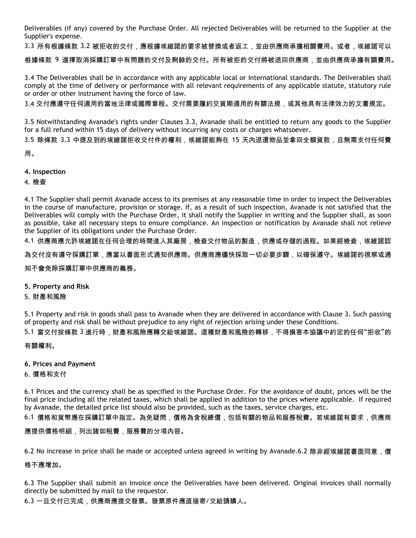Deliverables (if any) covered by the Purchase Order. All rejected Deliverables will be returned to the Supplier at the Supplier's expense.

3.3 所有根據條款 3.2 被拒收的交付,應根據埃維諾的要求被替換或者返工,並由供應商承擔相關費用。或者,埃維諾可以

根據條款 9 選擇取消採購訂單中有問題的交付及剩餘的交付。所有被拒的交付將被退回供應商,並由供應商承擔有關費用。

3.4 The Deliverables shall be in accordance with any applicable local or international standards. The Deliverables shall comply at the time of delivery or performance with all relevant requirements of any applicable statute, statutory rule or order or other instrument having the force of law.

3.4 交付應遵守任何適用的當地法律或國際章程。交付需要履約交貨期適用的有關法規,或其他具有法律效力的文書規定。

3.5 Notwithstanding Avanade's rights under Clauses 3.3, Avanade shall be entitled to return any goods to the Supplier for a full refund within 15 days of delivery without incurring any costs or charges whatsoever.

3.5 除條款 3.3 中提及到的埃維諾拒收交付件的權利,埃維諾能夠在 15 天內退還物品並拿回全額貨款,且無需支付任何費

用。

# **4. Inspection**

4. 檢查

4.1 The Supplier shall permit Avanade access to its premises at any reasonable time in order to inspect the Deliverables in the course of manufacture, provision or storage. If, as a result of such inspection, Avanade is not satisfied that the Deliverables will comply with the Purchase Order, it shall notify the Supplier in writing and the Supplier shall, as soon as possible, take all necessary steps to ensure compliance. An inspection or notification by Avanade shall not relieve the Supplier of its obligations under the Purchase Order.

4.1 供應商應允許埃維諾在任何合理的時間進入其廠房,檢查交付物品的製造,供應或存儲的過程。如果經檢查,埃維諾認

為交付沒有遵守採購訂單,應當以書面形式通知供應商。供應商應儘快採取一切必要步驟,以確保遵守。埃維諾的視察或通

知不會免除採購訂單中供應商的義務。

# **5. Property and Risk**

# 5. 財產和風險

5.1 Property and risk in goods shall pass to Avanade when they are delivered in accordance with Clause 3. Such passing of property and risk shall be without prejudice to any right of rejection arising under these Conditions.

5.1 當交付按條款 3 進行時,財產和風險應轉交給埃維諾。這種財產和風險的轉移,不得損害本協議中約定的任何"拒收"的

有關權利。

# **6. Prices and Payment**

6. 價格和支付

6.1 Prices and the currency shall be as specified in the Purchase Order. For the avoidance of doubt, prices will be the final price including all the related taxes, which shall be applied in addition to the prices where applicable. If required by Avanade, the detailed price list should also be provided, such as the taxes, service charges, etc.

6.1 價格和貨幣應在採購訂單中指定。為免疑問,價格為含稅總價,包括有關的物品和服務稅費。若埃維諾有要求,供應商

應提供價格明細,列出諸如稅費,服務費的分項內容。

6.2 No increase in price shall be made or accepted unless agreed in writing by Avanade.6.2 除非經埃維諾書面同意,價

格不應增加。

6.3 The Supplier shall submit an invoice once the Deliverables have been delivered. Original invoices shall normally directly be submitted by mail to the requestor.

6.3 一旦交付已完成,供應商應提交發票。發票原件應直接寄/交給請購人。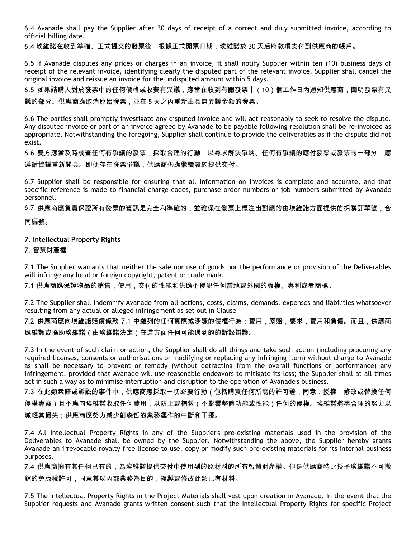6.4 Avanade shall pay the Supplier after 30 days of receipt of a correct and duly submitted invoice, according to official billing date.

6.4 埃維諾在收到準確、正式提交的發票後,根據正式開票日期,埃維諾於 30 天后將款項支付到供應商的帳戶。

6.5 If Avanade disputes any prices or charges in an invoice, it shall notify Supplier within ten (10) business days of receipt of the relevant invoice, identifying clearly the disputed part of the relevant invoice. Supplier shall cancel the original invoice and reissue an invoice for the undisputed amount within 5 days.

6.5 如果請購人對於發票中的任何價格或收費有異議,應當在收到有關發票十(10)個工作日內通知供應商,闡明發票有異 議的部分。供應商應取消原始發票,並在 5 天之內重新出具無異議金額的發票。

6.6 The parties shall promptly investigate any disputed invoice and will act reasonably to seek to resolve the dispute. Any disputed invoice or part of an invoice agreed by Avanade to be payable following resolution shall be re-invoiced as appropriate. Notwithstanding the foregoing, Supplier shall continue to provide the deliverables as if the dispute did not exist.

6.6 雙方應當及時調查任何有爭議的發票,採取合理的行動,以尋求解決爭端。任何有爭議的應付發票或發票的一部分,應 遵循協議重新開具。即便存在發票爭議,供應商仍應繼續履約提供交付。

6.7 Supplier shall be responsible for ensuring that all information on invoices is complete and accurate, and that specific reference is made to financial charge codes, purchase order numbers or job numbers submitted by Avanade personnel.

6.7 供應商應負責保證所有發票的資訊是完全和準確的,並確保在發票上標注出對應的由埃維諾方面提供的採購訂單號,合

同編號。

# **7. Intellectual Property Rights**

#### 7. 智慧財產權

7.1 The Supplier warrants that neither the sale nor use of goods nor the performance or provision of the Deliverables will infringe any local or foreign copyright, patent or trade mark.

7.1 供應商應保證物品的銷售,使用,交付的性能和供應不侵犯任何當地或外國的版權、專利或者商標。

7.2 The Supplier shall indemnify Avanade from all actions, costs, claims, demands, expenses and liabilities whatsoever resulting from any actual or alleged infringement as set out in Clause

7.2 供應商應向埃維諾賠償條款 7.1 中羅列的任何實際或涉嫌的侵權行為:費用,索賠,要求,費用和負債。而且,供應商 應維護或協助埃維諾(由埃維諾決定)在這方面任何可能遇到的的訴訟辯護。

7.3 In the event of such claim or action, the Supplier shall do all things and take such action (including procuring any required licenses, consents or authorisations or modifying or replacing any infringing item) without charge to Avanade as shall be necessary to prevent or remedy (without detracting from the overall functions or performance) any infringement, provided that Avanade will use reasonable endeavors to mitigate its loss; the Supplier shall at all times act in such a way as to minimise interruption and disruption to the operation of Avanade's business.

7.3 在此類索賠或訴訟的事件中,供應商應採取一切必要行動(包括購買任何所需的許可證,同意,授權,修改或替換任何

侵權專案)且不應向埃維諾收取任何費用,以防止或補救(不影響整體功能或性能)任何的侵權。埃維諾將盡合理的努力以

減輕其損失;供應商應努力減少對森哲的業務運作的中斷和干擾。

7.4 All Intellectual Property Rights in any of the Supplier's pre-existing materials used in the provision of the Deliverables to Avanade shall be owned by the Supplier. Notwithstanding the above, the Supplier hereby grants Avanade an irrevocable royalty free license to use, copy or modify such pre-existing materials for its internal business purposes.

7.4 供應商擁有其任何已有的,為埃維諾提供交付中使用到的原材料的所有智慧財產權。但是供應商特此授予埃維諾不可撤 銷的免版稅許可,同意其以內部業務為目的,複製或修改此類已有材料。

7.5 The Intellectual Property Rights in the Project Materials shall vest upon creation in Avanade. In the event that the Supplier requests and Avanade grants written consent such that the Intellectual Property Rights for specific Project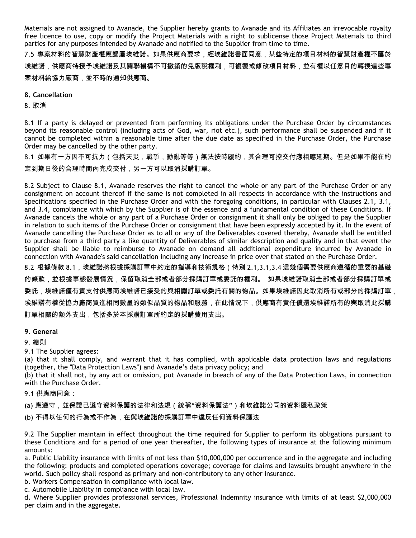Materials are not assigned to Avanade, the Supplier hereby grants to Avanade and its Affiliates an irrevocable royalty free licence to use, copy or modify the Project Materials with a right to sublicense those Project Materials to third parties for any purposes intended by Avanade and notified to the Supplier from time to time.

7.5 專案材料的智慧財產權應歸屬埃維諾。如果供應商要求,經埃維諾書面同意,某些特定的項目材料的智慧財產權不屬於 埃維諾,供應商特授予埃維諾及其關聯機構不可撤銷的免版稅權利,可複製或修改項目材料,並有權以任意目的轉授這些專 案材料給協力廠商,並不時的通知供應商。

#### **8. Cancellation**

8. 取消

8.1 If a party is delayed or prevented from performing its obligations under the Purchase Order by circumstances beyond its reasonable control (including acts of God, war, riot etc.), such performance shall be suspended and if it cannot be completed within a reasonable time after the due date as specified in the Purchase Order, the Purchase Order may be cancelled by the other party.

8.1 如果有一方因不可抗力(包括天災,戰爭,動亂等等)無法按時履約,其合理可控交付應相應延期。但是如果不能在約 定到期日後的合理時間內完成交付,另一方可以取消採購訂單。

8.2 Subject to Clause 8.1, Avanade reserves the right to cancel the whole or any part of the Purchase Order or any consignment on account thereof if the same is not completed in all respects in accordance with the instructions and Specifications specified in the Purchase Order and with the foregoing conditions, in particular with Clauses 2.1, 3.1, and 3.4, compliance with which by the Supplier is of the essence and a fundamental condition of these Conditions. If Avanade cancels the whole or any part of a Purchase Order or consignment it shall only be obliged to pay the Supplier in relation to such items of the Purchase Order or consignment that have been expressly accepted by it. In the event of Avanade cancelling the Purchase Order as to all or any of the Deliverables covered thereby, Avanade shall be entitled to purchase from a third party a like quantity of Deliverables of similar description and quality and in that event the Supplier shall be liable to reimburse to Avanade on demand all additional expenditure incurred by Avanade in connection with Avanade's said cancellation including any increase in price over that stated on the Purchase Order.

8.2 根據條款 8.1,埃維諾將根據採購訂單中約定的指導和技術規格(特別 2.1,3.1,3.4 這幾個需要供應商遵循的重要的基礎 的條款,並根據事態發展情況,保留取消全部或者部分採購訂單或委託的權利。 如果埃維諾取消全部或者部分採購訂單或 委託,埃維諾僅有責支付供應商埃維諾已接受的與相關訂單或委託有關的物品。如果埃維諾因此取消所有或部分的採購訂單, 埃維諾有權從協力廠商買進相同數量的類似品質的物品和服務,在此情況下,供應商有責任償還埃維諾所有的與取消此採購 訂單相關的額外支出,包括多於本採購訂單所約定的採購費用支出。

# **9. General**

9. 總則

9.1 The Supplier agrees:

(a) that it shall comply, and warrant that it has complied, with applicable data protection laws and regulations (together, the "Data Protection Laws") and Avanade's data privacy policy; and

(b) that it shall not, by any act or omission, put Avanade in breach of any of the Data Protection Laws, in connection with the Purchase Order.

9.1 供應商同意:

(a) 應遵守,並保證已遵守資料保護的法律和法規(統稱"資料保護法")和埃維諾公司的資料隱私政策

(b) 不得以任何的行為或不作為,在與埃維諾的採購訂單中違反任何資料保護法

9.2 The Supplier maintain in effect throughout the time required for Supplier to perform its obligations pursuant to these Conditions and for a period of one year thereafter, the following types of insurance at the following minimum amounts:

a. Public Liability insurance with limits of not less than \$10,000,000 per occurrence and in the aggregate and including the following: products and completed operations coverage; coverage for claims and lawsuits brought anywhere in the world. Such policy shall respond as primary and non-contributory to any other insurance.

b. Workers Compensation in compliance with local law.

c. Automobile Liability in compliance with local law.

d. Where Supplier provides professional services, Professional Indemnity insurance with limits of at least \$2,000,000 per claim and in the aggregate.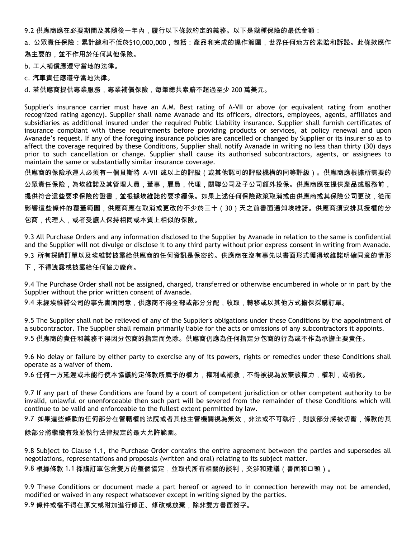9.2 供應商應在必要期間及其隨後一年內,履行以下條款約定的義務。以下是幾種保險的最低金額:

a. 公眾責任保險:累計總和不低於\$10,000,000,包括:產品和完成的操作範圍,世界任何地方的索賠和訴訟。此條款應作 為主要的,並不作用於任何其他保險。

b. 工人補償應遵守當地的法律。

c. 汽車責任應遵守當地法律。

d. 若供應商提供專業服務,專業補償保險,每筆總共索賠不超過至少 200 萬美元。

Supplier's insurance carrier must have an A.M. Best rating of A-VII or above (or equivalent rating from another recognized rating agency). Supplier shall name Avanade and its officers, directors, employees, agents, affiliates and subsidiaries as additional insured under the required Public Liability insurance. Supplier shall furnish certificates of insurance compliant with these requirements before providing products or services, at policy renewal and upon Avanade's request. If any of the foregoing insurance policies are cancelled or changed by Supplier or its insurer so as to affect the coverage required by these Conditions, Supplier shall notify Avanade in writing no less than thirty (30) days prior to such cancellation or change. Supplier shall cause its authorised subcontractors, agents, or assignees to maintain the same or substantially similar insurance coverage.

供應商的保險承運人必須有一個貝斯特 A-VII 或以上的評級(或其他認可的評級機構的同等評級)。供應商應根據所需要的 公眾責任保險,為埃維諾及其管理人員,董事,雇員,代理,關聯公司及子公司額外投保。供應商應在提供產品或服務前, 提供符合這些要求保險的證書,並根據埃維諾的要求續保。如果上述任何保險政策取消或由供應商或其保險公司更改,從而 影響這些條件的覆蓋範圍,供應商應在取消或更改的不少於三十(30)天之前書面通知埃維諾。供應商須安排其授權的分 包商,代理人,或者受讓人保持相同或本質上相似的保險。

9.3 All Purchase Orders and any information disclosed to the Supplier by Avanade in relation to the same is confidential and the Supplier will not divulge or disclose it to any third party without prior express consent in writing from Avanade. 9.3 所有採購訂單以及埃維諾披露給供應商的任何資訊是保密的。供應商在沒有事先以書面形式獲得埃維諾明確同意的情形 下,不得洩露或披露給任何協力廠商。

9.4 The Purchase Order shall not be assigned, charged, transferred or otherwise encumbered in whole or in part by the Supplier without the prior written consent of Avanade.

9.4 未經埃維諾公司的事先書面同意,供應商不得全部或部分分配,收取,轉移或以其他方式擔保採購訂單。

9.5 The Supplier shall not be relieved of any of the Supplier's obligations under these Conditions by the appointment of a subcontractor. The Supplier shall remain primarily liable for the acts or omissions of any subcontractors it appoints. 9.5 供應商的責任和義務不得因分包商的指定而免除。供應商仍應為任何指定分包商的行為或不作為承擔主要責任。

9.6 No delay or failure by either party to exercise any of its powers, rights or remedies under these Conditions shall operate as a waiver of them.

9.6 任何一方延遲或未能行使本協議約定條款所賦予的權力,權利或補救,不得被視為放棄該權力,權利,或補救。

9.7 If any part of these Conditions are found by a court of competent jurisdiction or other competent authority to be invalid, unlawful or unenforceable then such part will be severed from the remainder of these Conditions which will continue to be valid and enforceable to the fullest extent permitted by law.

9.7 如果這些條款的任何部分在管轄權的法院或者其他主管機關視為無效,非法或不可執行,則該部分將被切斷,條款的其

#### 餘部分將繼續有效並執行法律規定的最大允許範圍。

9.8 Subject to Clause 1.1, the Purchase Order contains the entire agreement between the parties and supersedes all negotiations, representations and proposals (written and oral) relating to its subject matter.

9.8 根據條款 1.1 採購訂單包含雙方的整個協定,並取代所有相關的談判,交涉和建議(書面和口頭)。

9.9 These Conditions or document made a part hereof or agreed to in connection herewith may not be amended, modified or waived in any respect whatsoever except in writing signed by the parties.

9.9 條件或檔不得在原文或附加進行修正、修改或放棄,除非雙方書面簽字。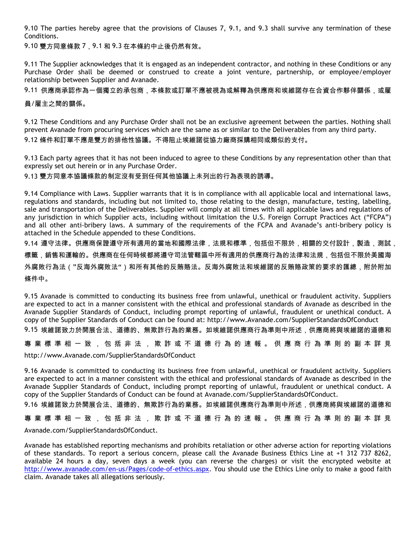9.10 The parties hereby agree that the provisions of Clauses 7, 9.1, and 9.3 shall survive any termination of these Conditions.

9.10 雙方同意條款 7, 9.1 和 9.3 在本條約中止後仍然有效。

9.11 The Supplier acknowledges that it is engaged as an independent contractor, and nothing in these Conditions or any Purchase Order shall be deemed or construed to create a joint venture, partnership, or employee/employer relationship between Supplier and Avanade.

9.11 供應商承認作為一個獨立的承包商,本條款或訂單不應被視為或解釋為供應商和埃維諾存在合資合作夥伴關係,或雇

員/雇主之間的關係。

9.12 These Conditions and any Purchase Order shall not be an exclusive agreement between the parties. Nothing shall prevent Avanade from procuring services which are the same as or similar to the Deliverables from any third party. 9.12 條件和訂單不應是雙方的排他性協議。不得阻止埃維諾從協力廠商採購相同或類似的支付。

9.13 Each party agrees that it has not been induced to agree to these Conditions by any representation other than that expressly set out herein or in any Purchase Order.

9.13 雙方同意本協議條款的制定沒有受到任何其他協議上未列出的行為表現的誘導。

9.14 Compliance with Laws. Supplier warrants that it is in compliance with all applicable local and international laws, regulations and standards, including but not limited to, those relating to the design, manufacture, testing, labelling, sale and transportation of the Deliverables. Supplier will comply at all times with all applicable laws and regulations of any jurisdiction in which Supplier acts, including without limitation the U.S. Foreign Corrupt Practices Act ("FCPA") and all other anti-bribery laws. A summary of the requirements of the FCPA and Avanade's anti-bribery policy is attached in the Schedule appended to these Conditions.

9.14 遵守法律。供應商保證遵守所有適用的當地和國際法律,法規和標準,包括但不限於,相關的交付設計,製造,測試, 標籤,銷售和運輸的。供應商在任何時候都將遵守司法管轄區中所有適用的供應商行為的法律和法規,包括但不限於美國海 外腐敗行為法("反海外腐敗法")和所有其他的反賄賂法。反海外腐敗法和埃維諾的反賄賂政策的要求的匯總,附於附加 條件中。

9.15 Avanade is committed to conducting its business free from unlawful, unethical or fraudulent activity. Suppliers are expected to act in a manner consistent with the ethical and professional standards of Avanade as described in the Avanade Supplier Standards of Conduct, including prompt reporting of unlawful, fraudulent or unethical conduct. A copy of the Supplier Standards of Conduct can be found at: http://www.Avanade.com/SupplierStandardsOfConduct

9.15 埃維諾致力於開展合法、道德的、無欺詐行為的業務。如埃維諾供應商行為準則中所述,供應商將與埃維諾的道德和

專 業 標 準 相 一 致 , 包 括 非 法 , 欺 詐 或 不 道 德 行 為 的 速 報 。 供 應 商 行 為 準 則 的 副 本 詳 見

http://www.Avanade.com/SupplierStandardsOfConduct

9.16 Avanade is committed to conducting its business free from unlawful, unethical or fraudulent activity. Suppliers are expected to act in a manner consistent with the ethical and professional standards of Avanade as described in the Avanade Supplier Standards of Conduct, including prompt reporting of unlawful, fraudulent or unethical conduct. A copy of the Supplier Standards of Conduct can be found at Avanade.com/SupplierStandardsOfConduct.

9.16 埃維諾致力於開展合法、道德的、無欺詐行為的業務。如埃維諾供應商行為準則中所述,供應商將與埃維諾的道德和

專 業 標 準 相 一 致 , 包 括 非 法 , 欺 詐 或 不 道 德 行 為 的 速 報 。 供 應 商 行 為 準 則 的 副 本 詳 見

Avanade.com/SupplierStandardsOfConduct.

Avanade has established reporting mechanisms and prohibits retaliation or other adverse action for reporting violations of these standards. To report a serious concern, please call the Avanade Business Ethics Line at +1 312 737 8262, available 24 hours a day, seven days a week (you can reverse the charges) or visit the encrypted website at [http://www.avanade.com/en-us/Pages/code-of-ethics.aspx.](http://www.avanade.com/en-us/Pages/code-of-ethics.aspx) You should use the Ethics Line only to make a good faith claim. Avanade takes all allegations seriously.